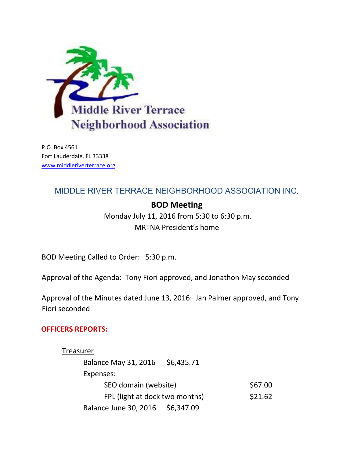

P.O. Box 4561 Fort Lauderdale, FL 33338 [www.middleriverterrace.org](http://www.middleriverterrace.org/)

## MIDDLE RIVER TERRACE NEIGHBORHOOD ASSOCIATION INC.

# **BOD Meeting**

Monday July 11, 2016 from 5:30 to 6:30 p.m. MRTNA President's home

BOD Meeting Called to Order: 5:30 p.m.

Approval of the Agenda: Tony Fiori approved, and Jonathon May seconded

Approval of the Minutes dated June 13, 2016: Jan Palmer approved, and Tony Fiori seconded

## **OFFICERS REPORTS:**

| Treasurer                      |            |         |
|--------------------------------|------------|---------|
| <b>Balance May 31, 2016</b>    | \$6,435.71 |         |
| Expenses:                      |            |         |
| SEO domain (website)           |            | \$67.00 |
| FPL (light at dock two months) |            | \$21.62 |
| Balance June 30, 2016          | \$6,347.09 |         |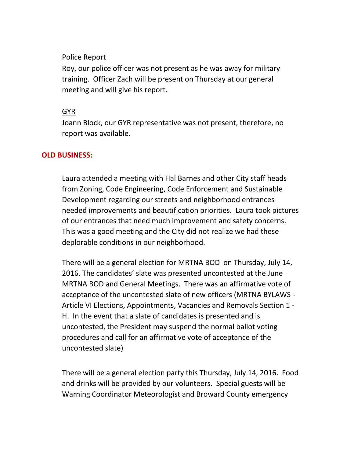## Police Report

Roy, our police officer was not present as he was away for military training. Officer Zach will be present on Thursday at our general meeting and will give his report.

## GYR

Joann Block, our GYR representative was not present, therefore, no report was available.

## **OLD BUSINESS:**

Laura attended a meeting with Hal Barnes and other City staff heads from Zoning, Code Engineering, Code Enforcement and Sustainable Development regarding our streets and neighborhood entrances needed improvements and beautification priorities. Laura took pictures of our entrances that need much improvement and safety concerns. This was a good meeting and the City did not realize we had these deplorable conditions in our neighborhood.

There will be a general election for MRTNA BOD on Thursday, July 14, 2016. The candidates' slate was presented uncontested at the June MRTNA BOD and General Meetings. There was an affirmative vote of acceptance of the uncontested slate of new officers (MRTNA BYLAWS - Article VI Elections, Appointments, Vacancies and Removals Section 1 - H. In the event that a slate of candidates is presented and is uncontested, the President may suspend the normal ballot voting procedures and call for an affirmative vote of acceptance of the uncontested slate)

There will be a general election party this Thursday, July 14, 2016. Food and drinks will be provided by our volunteers. Special guests will be Warning Coordinator Meteorologist and Broward County emergency